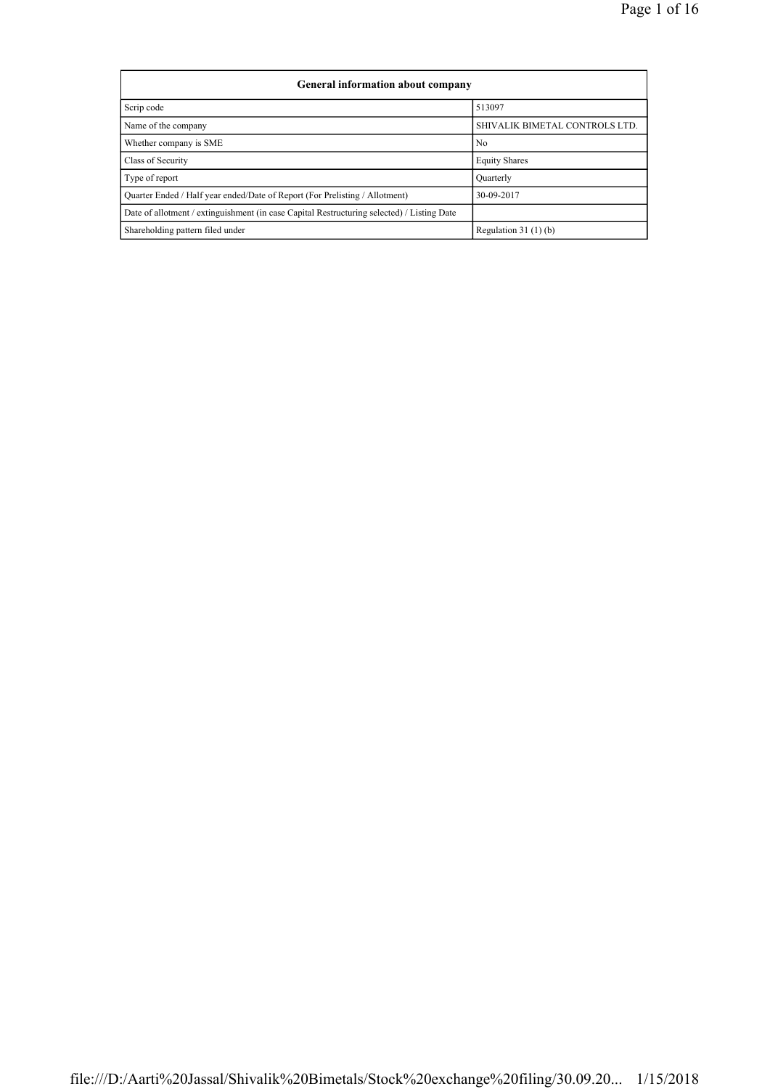| <b>General information about company</b>                                                   |                                |
|--------------------------------------------------------------------------------------------|--------------------------------|
| Scrip code                                                                                 | 513097                         |
| Name of the company                                                                        | SHIVALIK BIMETAL CONTROLS LTD. |
| Whether company is SME                                                                     | N <sub>0</sub>                 |
| Class of Security                                                                          | <b>Equity Shares</b>           |
| Type of report                                                                             | Ouarterly                      |
| Ouarter Ended / Half year ended/Date of Report (For Prelisting / Allotment)                | 30-09-2017                     |
| Date of allotment / extinguishment (in case Capital Restructuring selected) / Listing Date |                                |
| Shareholding pattern filed under                                                           | Regulation $31(1)(b)$          |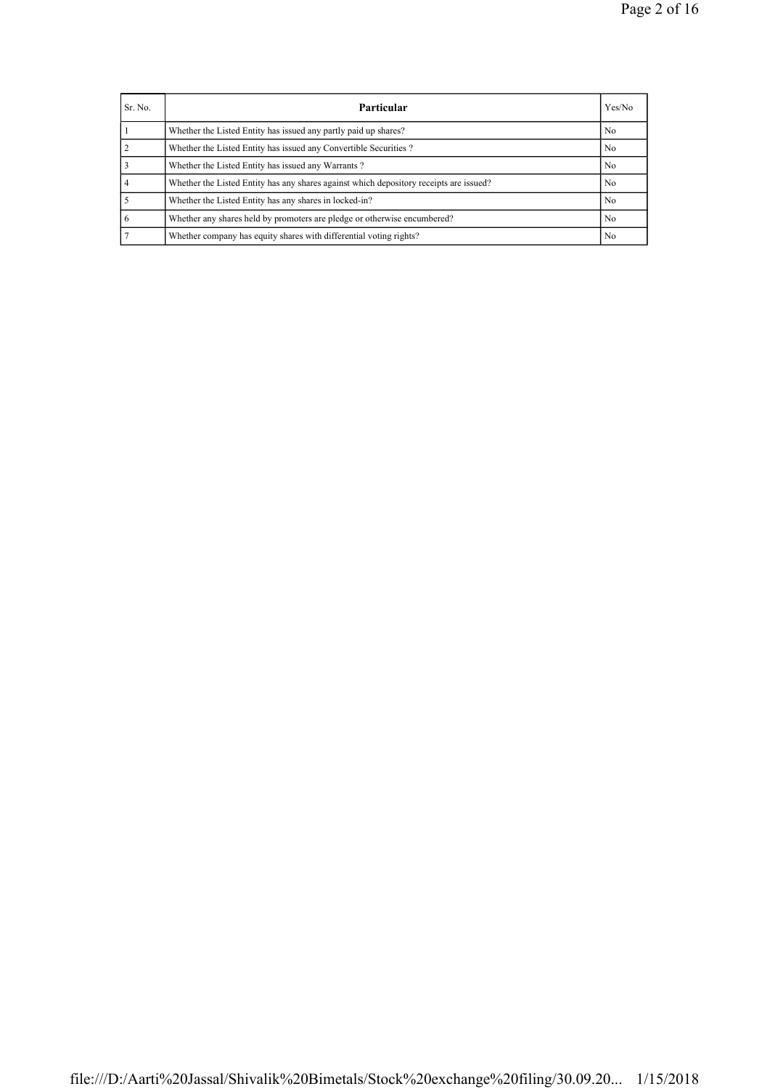| Sr. No. | Particular                                                                             | Yes/No         |
|---------|----------------------------------------------------------------------------------------|----------------|
|         | Whether the Listed Entity has issued any partly paid up shares?                        | No.            |
|         | Whether the Listed Entity has issued any Convertible Securities?                       | N <sub>0</sub> |
|         | Whether the Listed Entity has issued any Warrants?                                     | No.            |
|         | Whether the Listed Entity has any shares against which depository receipts are issued? | No.            |
|         | Whether the Listed Entity has any shares in locked-in?                                 | No.            |
|         | Whether any shares held by promoters are pledge or otherwise encumbered?               | No.            |
|         | Whether company has equity shares with differential voting rights?                     | N <sub>0</sub> |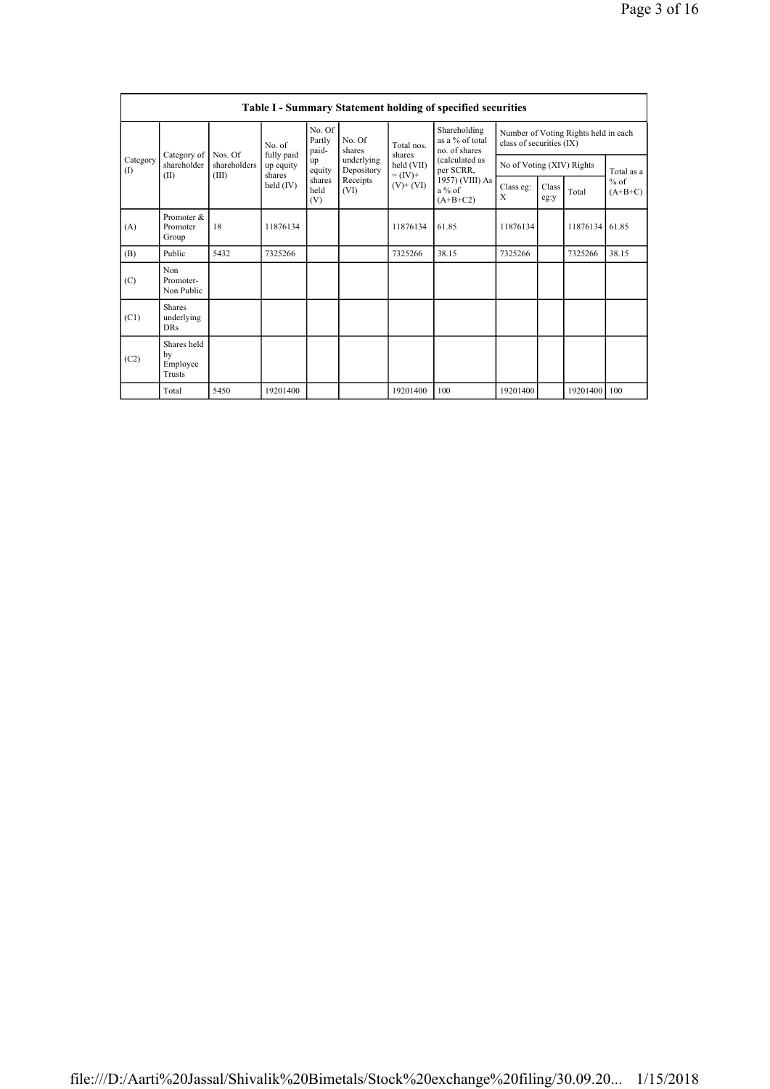|                 | <b>Table I - Summary Statement holding of specified securities</b> |                         |                         |                           |                          |                                            |                                                                          |                                                                  |               |                |                     |  |  |
|-----------------|--------------------------------------------------------------------|-------------------------|-------------------------|---------------------------|--------------------------|--------------------------------------------|--------------------------------------------------------------------------|------------------------------------------------------------------|---------------|----------------|---------------------|--|--|
| Category<br>(1) | Category of<br>shareholder<br>(II)                                 |                         | No. of                  | No. Of<br>Partly<br>paid- | No. Of<br>shares         | Total nos<br>shares                        | Shareholding<br>as a % of total<br>no. of shares                         | Number of Voting Rights held in each<br>class of securities (IX) |               |                |                     |  |  |
|                 |                                                                    | Nos. Of<br>shareholders | fully paid<br>up equity | up<br>equity              | underlying<br>Depository | held (VII)<br>$= (IV) +$<br>$(V)$ + $(VI)$ | (calculated as<br>per SCRR,<br>1957) (VIII) As<br>$a\%$ of<br>$(A+B+C2)$ | No of Voting (XIV) Rights                                        |               |                | Total as a          |  |  |
|                 |                                                                    | (III)                   | shares<br>held $(IV)$   | shares<br>held<br>(V)     | Receipts<br>(VI)         |                                            |                                                                          | Class eg:<br>X                                                   | Class<br>eg:y | Total          | $%$ of<br>$(A+B+C)$ |  |  |
| (A)             | Promoter &<br>Promoter<br>Group                                    | 18                      | 11876134                |                           |                          | 11876134                                   | 61.85                                                                    | 11876134                                                         |               | 11876134       | 61.85               |  |  |
| (B)             | Public                                                             | 5432                    | 7325266                 |                           |                          | 7325266                                    | 38.15                                                                    | 7325266                                                          |               | 7325266        | 38.15               |  |  |
| (C)             | Non<br>Promoter-<br>Non Public                                     |                         |                         |                           |                          |                                            |                                                                          |                                                                  |               |                |                     |  |  |
| (C1)            | <b>Shares</b><br>underlying<br>DRs                                 |                         |                         |                           |                          |                                            |                                                                          |                                                                  |               |                |                     |  |  |
| (C2)            | Shares held<br>by<br>Employee<br>Trusts                            |                         |                         |                           |                          |                                            |                                                                          |                                                                  |               |                |                     |  |  |
|                 | Total                                                              | 5450                    | 19201400                |                           |                          | 19201400                                   | 100                                                                      | 19201400                                                         |               | 19201400   100 |                     |  |  |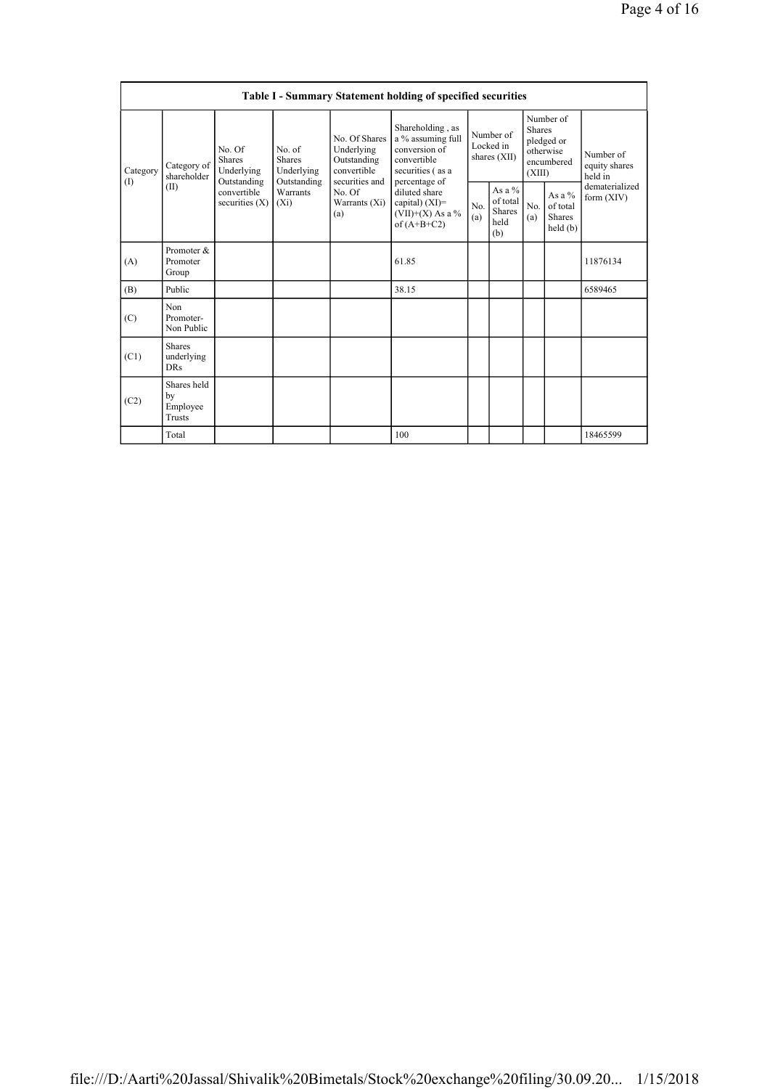|                 | Table I - Summary Statement holding of specified securities |                                                      |                                                      |                                                                             |                                                                                                            |                       |                                                |            |                                                                               |                                       |  |  |  |  |
|-----------------|-------------------------------------------------------------|------------------------------------------------------|------------------------------------------------------|-----------------------------------------------------------------------------|------------------------------------------------------------------------------------------------------------|-----------------------|------------------------------------------------|------------|-------------------------------------------------------------------------------|---------------------------------------|--|--|--|--|
| Category<br>(1) | Category of<br>shareholder                                  | No. Of<br><b>Shares</b><br>Underlying<br>Outstanding | No. of<br><b>Shares</b><br>Underlying<br>Outstanding | No. Of Shares<br>Underlying<br>Outstanding<br>convertible<br>securities and | Shareholding, as<br>a % assuming full<br>conversion of<br>convertible<br>securities (as a<br>percentage of |                       | Number of<br>Locked in<br>shares (XII)         |            | Number of<br><b>Shares</b><br>pledged or<br>otherwise<br>encumbered<br>(XIII) | Number of<br>equity shares<br>held in |  |  |  |  |
|                 | (II)                                                        | convertible<br>securities $(X)$                      | Warrants<br>$(X_i)$                                  | No. Of<br>Warrants (Xi)<br>(a)                                              | diluted share<br>capital) $(XI)$ =<br>$(VII)+(X)$ As a %<br>of $(A+B+C2)$                                  | N <sub>0</sub><br>(a) | As a $\%$<br>of total<br>Shares<br>held<br>(b) | No.<br>(a) | As a $%$<br>of total<br><b>Shares</b><br>held(b)                              | dematerialized<br>form $(XIV)$        |  |  |  |  |
| (A)             | Promoter &<br>Promoter<br>Group                             |                                                      |                                                      |                                                                             | 61.85                                                                                                      |                       |                                                |            |                                                                               | 11876134                              |  |  |  |  |
| (B)             | Public                                                      |                                                      |                                                      |                                                                             | 38.15                                                                                                      |                       |                                                |            |                                                                               | 6589465                               |  |  |  |  |
| (C)             | Non<br>Promoter-<br>Non Public                              |                                                      |                                                      |                                                                             |                                                                                                            |                       |                                                |            |                                                                               |                                       |  |  |  |  |
| (C1)            | <b>Shares</b><br>underlying<br><b>DRs</b>                   |                                                      |                                                      |                                                                             |                                                                                                            |                       |                                                |            |                                                                               |                                       |  |  |  |  |
| (C2)            | Shares held<br>by<br>Employee<br>Trusts                     |                                                      |                                                      |                                                                             |                                                                                                            |                       |                                                |            |                                                                               |                                       |  |  |  |  |
|                 | Total                                                       |                                                      |                                                      |                                                                             | 100                                                                                                        |                       |                                                |            |                                                                               | 18465599                              |  |  |  |  |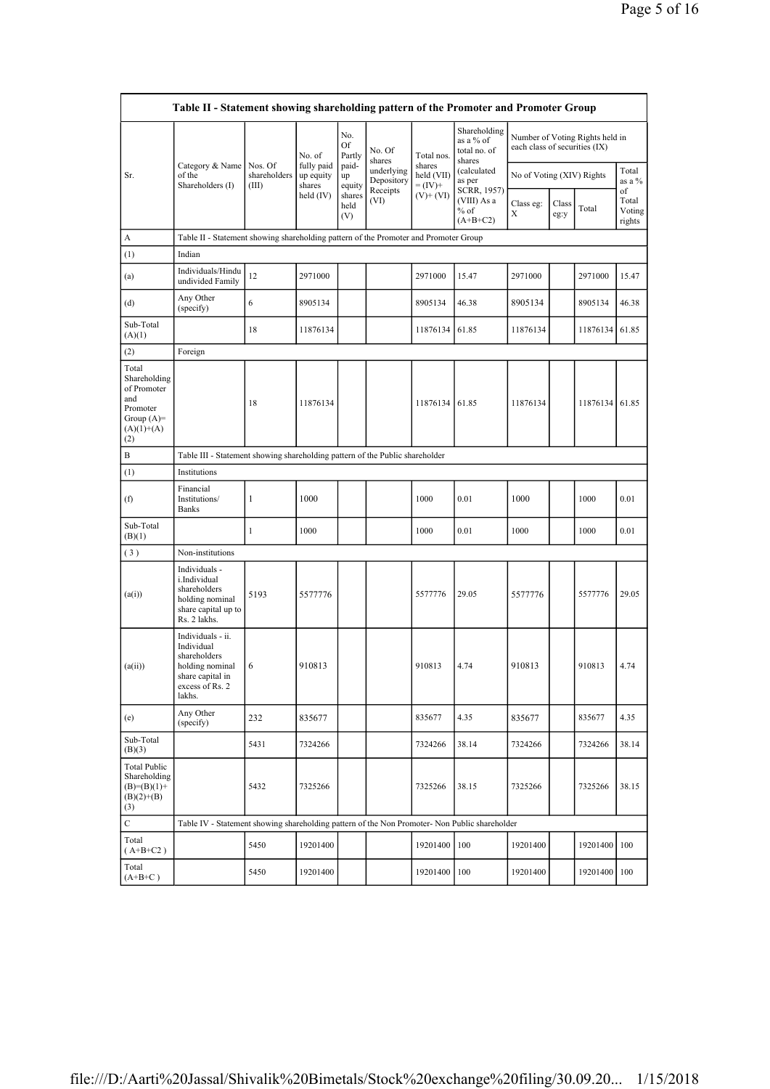|                                                                                                | Table II - Statement showing shareholding pattern of the Promoter and Promoter Group                                |                                  |                                   |                       |                          |                                    |                                                     |                               |               |                                 |                                 |  |  |
|------------------------------------------------------------------------------------------------|---------------------------------------------------------------------------------------------------------------------|----------------------------------|-----------------------------------|-----------------------|--------------------------|------------------------------------|-----------------------------------------------------|-------------------------------|---------------|---------------------------------|---------------------------------|--|--|
|                                                                                                |                                                                                                                     |                                  | No. of                            | No.<br>Of<br>Partly   | No. Of<br>shares         | Total nos.                         | Shareholding<br>as a % of<br>total no. of<br>shares | each class of securities (IX) |               | Number of Voting Rights held in |                                 |  |  |
| Sr.                                                                                            | Category & Name<br>of the<br>Shareholders (I)                                                                       | Nos. Of<br>shareholders<br>(III) | fully paid<br>up equity<br>shares | paid-<br>up<br>equity | underlying<br>Depository | shares<br>held (VII)<br>$= (IV) +$ | (calculated<br>as per                               | No of Voting (XIV) Rights     |               |                                 | Total<br>as a %                 |  |  |
|                                                                                                |                                                                                                                     |                                  | held $(IV)$                       | shares<br>held<br>(V) | Receipts<br>(VI)         | $(V)$ + $(VI)$                     | SCRR, 1957)<br>(VIII) As a<br>$%$ of<br>$(A+B+C2)$  | Class eg:<br>X                | Class<br>eg:y | Total                           | of<br>Total<br>Voting<br>rights |  |  |
| A                                                                                              | Table II - Statement showing shareholding pattern of the Promoter and Promoter Group                                |                                  |                                   |                       |                          |                                    |                                                     |                               |               |                                 |                                 |  |  |
| (1)                                                                                            | Indian                                                                                                              |                                  |                                   |                       |                          |                                    |                                                     |                               |               |                                 |                                 |  |  |
| (a)                                                                                            | Individuals/Hindu<br>undivided Family                                                                               | 12                               | 2971000                           |                       |                          | 2971000                            | 15.47                                               | 2971000                       |               | 2971000                         | 15.47                           |  |  |
| (d)                                                                                            | Any Other<br>(specify)                                                                                              | 6                                | 8905134                           |                       |                          | 8905134                            | 46.38                                               | 8905134                       |               | 8905134                         | 46.38                           |  |  |
| Sub-Total<br>(A)(1)                                                                            |                                                                                                                     | 18                               | 11876134                          |                       |                          | 11876134 61.85                     |                                                     | 11876134                      |               | 11876134                        | 61.85                           |  |  |
| (2)                                                                                            | Foreign                                                                                                             |                                  |                                   |                       |                          |                                    |                                                     |                               |               |                                 |                                 |  |  |
| Total<br>Shareholding<br>of Promoter<br>and<br>Promoter<br>Group $(A)=$<br>$(A)(1)+(A)$<br>(2) |                                                                                                                     | 18                               | 11876134                          |                       |                          | 11876134 61.85                     |                                                     | 11876134                      |               | 11876134                        | 61.85                           |  |  |
| B                                                                                              | Table III - Statement showing shareholding pattern of the Public shareholder                                        |                                  |                                   |                       |                          |                                    |                                                     |                               |               |                                 |                                 |  |  |
| (1)                                                                                            | Institutions                                                                                                        |                                  |                                   |                       |                          |                                    |                                                     |                               |               |                                 |                                 |  |  |
| (f)                                                                                            | Financial<br>Institutions/<br><b>Banks</b>                                                                          | 1                                | 1000                              |                       |                          | 1000                               | 0.01                                                | 1000                          |               | 1000                            | 0.01                            |  |  |
| Sub-Total<br>(B)(1)                                                                            |                                                                                                                     | 1                                | 1000                              |                       |                          | 1000                               | 0.01                                                | 1000                          |               | 1000                            | 0.01                            |  |  |
| (3)                                                                                            | Non-institutions                                                                                                    |                                  |                                   |                       |                          |                                    |                                                     |                               |               |                                 |                                 |  |  |
| (a(i))                                                                                         | Individuals -<br>i.Individual<br>shareholders<br>holding nominal<br>share capital up to<br>Rs. 2 lakhs.             | 5193                             | 5577776                           |                       |                          | 5577776                            | 29.05                                               | 5577776                       |               | 5577776                         | 29.05                           |  |  |
| (a(ii))                                                                                        | Individuals - ii.<br>Individual<br>shareholders<br>holding nominal<br>share capital in<br>excess of Rs. 2<br>lakhs. | 6                                | 910813                            |                       |                          | 910813                             | 4.74                                                | 910813                        |               | 910813                          | 4.74                            |  |  |
| (e)                                                                                            | Any Other<br>(specify)                                                                                              | 232                              | 835677                            |                       |                          | 835677                             | 4.35                                                | 835677                        |               | 835677                          | 4.35                            |  |  |
| Sub-Total<br>(B)(3)                                                                            |                                                                                                                     | 5431                             | 7324266                           |                       |                          | 7324266                            | 38.14                                               | 7324266                       |               | 7324266                         | 38.14                           |  |  |
| <b>Total Public</b><br>Shareholding<br>$(B)=(B)(1)+$<br>$(B)(2)+(B)$<br>(3)                    |                                                                                                                     | 5432                             | 7325266                           |                       |                          | 7325266                            | 38.15                                               | 7325266                       |               | 7325266                         | 38.15                           |  |  |
| $\mathbf C$                                                                                    | Table IV - Statement showing shareholding pattern of the Non Promoter- Non Public shareholder                       |                                  |                                   |                       |                          |                                    |                                                     |                               |               |                                 |                                 |  |  |
| Total<br>$(A+B+C2)$                                                                            |                                                                                                                     | 5450                             | 19201400                          |                       |                          | 19201400                           | 100                                                 | 19201400                      |               | 19201400                        | 100                             |  |  |
| Total<br>$(A+B+C)$                                                                             |                                                                                                                     | 5450                             | 19201400                          |                       |                          | 19201400   100                     |                                                     | 19201400                      |               | 19201400   100                  |                                 |  |  |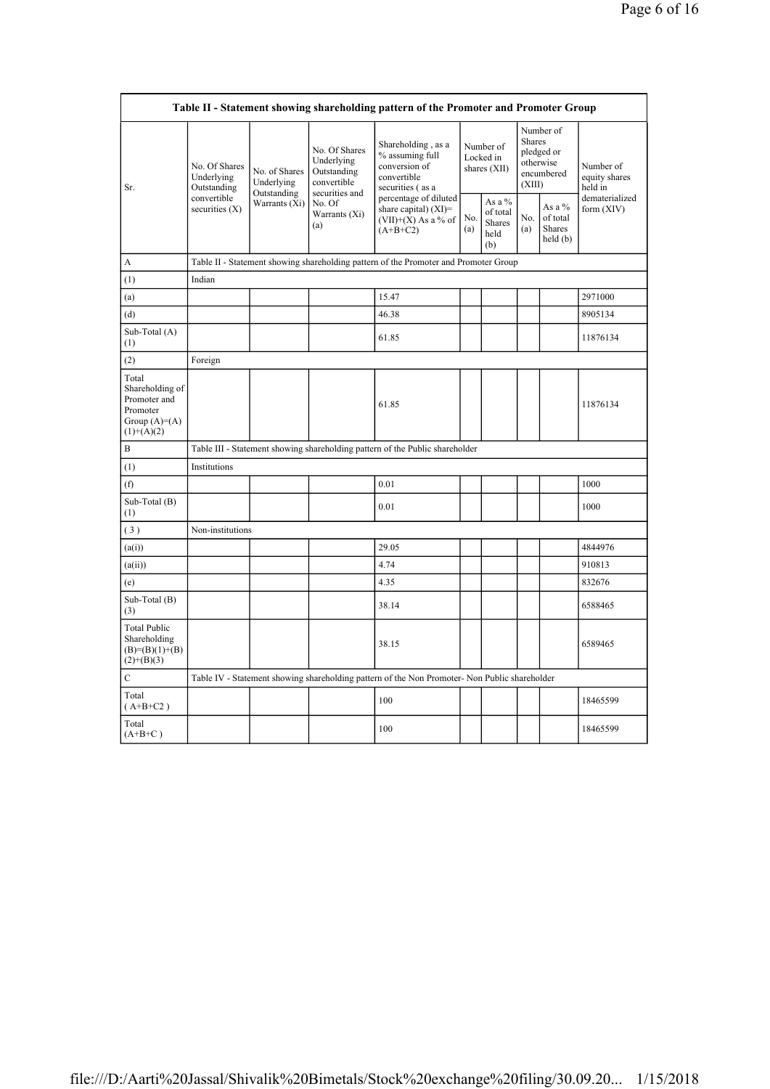|                                                                                        |                                            |                                            |                                                                             | Table II - Statement showing shareholding pattern of the Promoter and Promoter Group          |            |                                             |                         |                                                    |                                       |
|----------------------------------------------------------------------------------------|--------------------------------------------|--------------------------------------------|-----------------------------------------------------------------------------|-----------------------------------------------------------------------------------------------|------------|---------------------------------------------|-------------------------|----------------------------------------------------|---------------------------------------|
| Sr.                                                                                    | No. Of Shares<br>Underlying<br>Outstanding | No. of Shares<br>Underlying<br>Outstanding | No. Of Shares<br>Underlying<br>Outstanding<br>convertible<br>securities and | Shareholding, as a<br>% assuming full<br>conversion of<br>convertible<br>securities (as a     |            | Number of<br>Locked in<br>shares (XII)      | <b>Shares</b><br>(XIII) | Number of<br>pledged or<br>otherwise<br>encumbered | Number of<br>equity shares<br>held in |
|                                                                                        | convertible<br>securities $(X)$            | Warrants (Xi)                              | No. Of<br>Warrants (Xi)<br>(a)                                              | percentage of diluted<br>share capital) $(XI)$ =<br>$(VII)+(X)$ As a % of<br>$(A+B+C2)$       | No.<br>(a) | As a %<br>of total<br>Shares<br>held<br>(b) | No.<br>(a)              | As a $%$<br>of total<br><b>Shares</b><br>held(b)   | dematerialized<br>form $(XIV)$        |
| A                                                                                      |                                            |                                            |                                                                             | Table II - Statement showing shareholding pattern of the Promoter and Promoter Group          |            |                                             |                         |                                                    |                                       |
| (1)                                                                                    | Indian                                     |                                            |                                                                             |                                                                                               |            |                                             |                         |                                                    |                                       |
| (a)                                                                                    |                                            |                                            |                                                                             | 15.47                                                                                         |            |                                             |                         |                                                    | 2971000                               |
| (d)                                                                                    |                                            |                                            |                                                                             | 46.38                                                                                         |            |                                             |                         |                                                    | 8905134                               |
| Sub-Total (A)<br>(1)                                                                   |                                            |                                            |                                                                             | 61.85                                                                                         |            |                                             |                         |                                                    | 11876134                              |
| (2)                                                                                    | Foreign                                    |                                            |                                                                             |                                                                                               |            |                                             |                         |                                                    |                                       |
| Total<br>Shareholding of<br>Promoter and<br>Promoter<br>Group $(A)=A)$<br>$(1)+(A)(2)$ |                                            |                                            |                                                                             | 61.85                                                                                         |            |                                             |                         |                                                    | 11876134                              |
| B                                                                                      |                                            |                                            |                                                                             | Table III - Statement showing shareholding pattern of the Public shareholder                  |            |                                             |                         |                                                    |                                       |
| (1)                                                                                    | Institutions                               |                                            |                                                                             |                                                                                               |            |                                             |                         |                                                    |                                       |
| (f)                                                                                    |                                            |                                            |                                                                             | 0.01                                                                                          |            |                                             |                         |                                                    | 1000                                  |
| Sub-Total (B)<br>(1)                                                                   |                                            |                                            |                                                                             | 0.01                                                                                          |            |                                             |                         |                                                    | 1000                                  |
| (3)                                                                                    | Non-institutions                           |                                            |                                                                             |                                                                                               |            |                                             |                         |                                                    |                                       |
| (a(i))                                                                                 |                                            |                                            |                                                                             | 29.05                                                                                         |            |                                             |                         |                                                    | 4844976                               |
| (a(ii))                                                                                |                                            |                                            |                                                                             | 4.74                                                                                          |            |                                             |                         |                                                    | 910813                                |
| (e)                                                                                    |                                            |                                            |                                                                             | 4.35                                                                                          |            |                                             |                         |                                                    | 832676                                |
| Sub-Total (B)<br>(3)                                                                   |                                            |                                            |                                                                             | 38.14                                                                                         |            |                                             |                         |                                                    | 6588465                               |
| <b>Total Public</b><br>Shareholding<br>$(B)= (B)(1)+(B)$<br>$(2)+(B)(3)$               |                                            |                                            |                                                                             | 38.15                                                                                         |            |                                             |                         |                                                    | 6589465                               |
| $\mathbf C$                                                                            |                                            |                                            |                                                                             | Table IV - Statement showing shareholding pattern of the Non Promoter- Non Public shareholder |            |                                             |                         |                                                    |                                       |
| Total<br>$(A+B+C2)$                                                                    |                                            |                                            |                                                                             | 100                                                                                           |            |                                             |                         |                                                    | 18465599                              |
| Total<br>$(A+B+C)$                                                                     |                                            |                                            |                                                                             | 100                                                                                           |            |                                             |                         |                                                    | 18465599                              |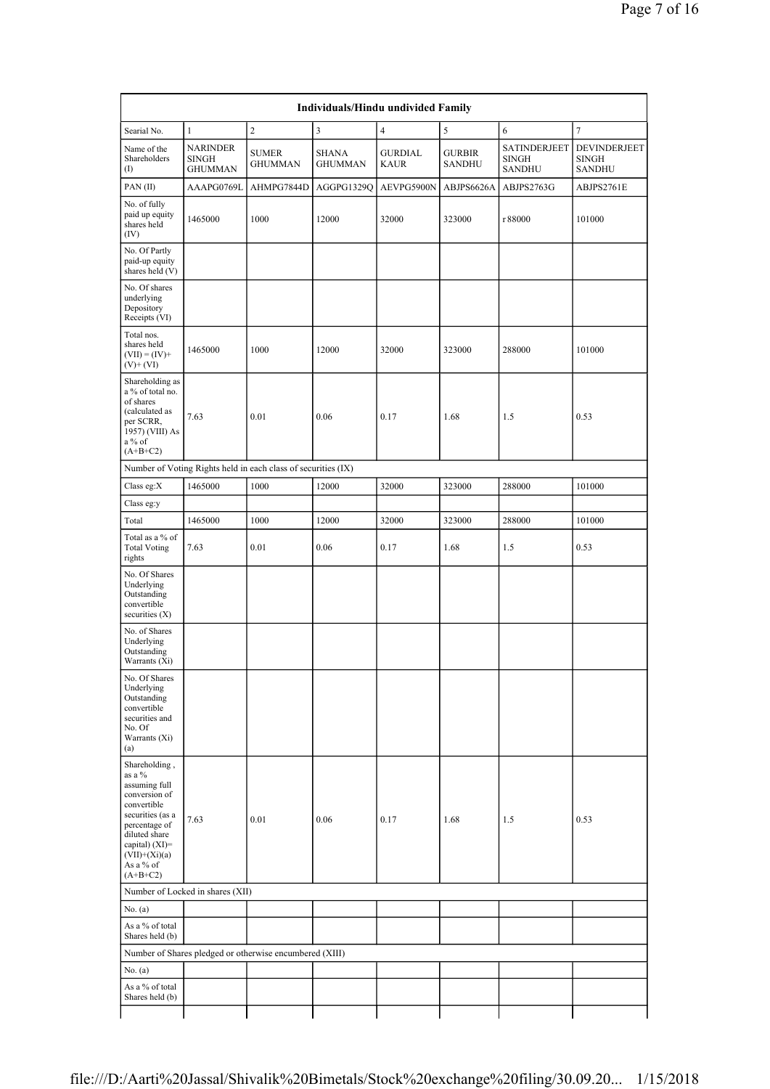|                                                                                                                            | Page 7 of 16                                      |                                                               |                                    |                               |                                |                                                      |                                               |  |  |  |
|----------------------------------------------------------------------------------------------------------------------------|---------------------------------------------------|---------------------------------------------------------------|------------------------------------|-------------------------------|--------------------------------|------------------------------------------------------|-----------------------------------------------|--|--|--|
|                                                                                                                            |                                                   |                                                               |                                    |                               |                                |                                                      |                                               |  |  |  |
|                                                                                                                            |                                                   |                                                               | Individuals/Hindu undivided Family |                               |                                |                                                      |                                               |  |  |  |
| Searial No.                                                                                                                | $\mathbf{1}$                                      | $\sqrt{2}$                                                    | 3                                  | 4                             | 5                              | 6                                                    | $\tau$                                        |  |  |  |
| Name of the<br>Shareholders<br>(I)                                                                                         | <b>NARINDER</b><br><b>SINGH</b><br><b>GHUMMAN</b> | <b>SUMER</b><br><b>GHUMMAN</b>                                | <b>SHANA</b><br><b>GHUMMAN</b>     | <b>GURDIAL</b><br><b>KAUR</b> | <b>GURBIR</b><br><b>SANDHU</b> | <b>SATINDERJEET</b><br><b>SINGH</b><br><b>SANDHU</b> | DEVINDERJEET<br><b>SINGH</b><br><b>SANDHU</b> |  |  |  |
| PAN(II)                                                                                                                    | AAAPG0769L                                        | AHMPG7844D                                                    | AGGPG1329Q                         | AEVPG5900N                    | ABJPS6626A                     | ABJPS2763G                                           | ABJPS2761E                                    |  |  |  |
| No. of fully<br>paid up equity<br>shares held<br>(IV)                                                                      | 1465000                                           | 1000                                                          | 12000                              | 32000                         | 323000                         | r 88000                                              | 101000                                        |  |  |  |
| No. Of Partly<br>paid-up equity<br>shares held (V)                                                                         |                                                   |                                                               |                                    |                               |                                |                                                      |                                               |  |  |  |
| No. Of shares<br>underlying<br>Depository<br>Receipts (VI)                                                                 |                                                   |                                                               |                                    |                               |                                |                                                      |                                               |  |  |  |
| Total nos.<br>shares held<br>$(VII) = (IV) +$<br>$(V)$ + $(VI)$                                                            | 1465000                                           | 1000                                                          | 12000                              | 32000                         | 323000                         | 288000                                               | 101000                                        |  |  |  |
| Shareholding as<br>a % of total no.<br>of shares<br>(calculated as<br>per SCRR,<br>1957) (VIII) As<br>a % of<br>$(A+B+C2)$ | 7.63                                              | 0.01                                                          | 0.06                               | 0.17                          | 1.68                           | 1.5                                                  | 0.53                                          |  |  |  |
|                                                                                                                            |                                                   | Number of Voting Rights held in each class of securities (IX) |                                    |                               |                                |                                                      |                                               |  |  |  |

| No. Of Partly<br>paid-up equity<br>shares held (V)                                                                                                                                                |                                  |                                                               |       |       |        |        |        |
|---------------------------------------------------------------------------------------------------------------------------------------------------------------------------------------------------|----------------------------------|---------------------------------------------------------------|-------|-------|--------|--------|--------|
| No. Of shares<br>underlying<br>Depository<br>Receipts (VI)                                                                                                                                        |                                  |                                                               |       |       |        |        |        |
| Total nos.<br>shares held<br>$(VII) = (IV) +$<br>$(V)$ + $(VI)$                                                                                                                                   | 1465000                          | 1000                                                          | 12000 | 32000 | 323000 | 288000 | 101000 |
| Shareholding as<br>a % of total no.<br>of shares<br>(calculated as<br>per SCRR,<br>1957) (VIII) As<br>a % of<br>$(A+B+C2)$                                                                        | 7.63                             | 0.01                                                          | 0.06  | 0.17  | 1.68   | 1.5    | 0.53   |
|                                                                                                                                                                                                   |                                  | Number of Voting Rights held in each class of securities (IX) |       |       |        |        |        |
| Class eg:X                                                                                                                                                                                        | 1465000                          | 1000                                                          | 12000 | 32000 | 323000 | 288000 | 101000 |
| Class eg:y                                                                                                                                                                                        |                                  |                                                               |       |       |        |        |        |
| Total                                                                                                                                                                                             | 1465000                          | 1000                                                          | 12000 | 32000 | 323000 | 288000 | 101000 |
| Total as a % of<br><b>Total Voting</b><br>rights                                                                                                                                                  | 7.63                             | 0.01                                                          | 0.06  | 0.17  | 1.68   | 1.5    | 0.53   |
| No. Of Shares<br>Underlying<br>Outstanding<br>convertible<br>securities $(X)$                                                                                                                     |                                  |                                                               |       |       |        |        |        |
| No. of Shares<br>Underlying<br>Outstanding<br>Warrants (Xi)                                                                                                                                       |                                  |                                                               |       |       |        |        |        |
| No. Of Shares<br>Underlying<br>Outstanding<br>convertible<br>securities and<br>No. Of<br>Warrants (Xi)<br>(a)                                                                                     |                                  |                                                               |       |       |        |        |        |
| Shareholding,<br>as a $\%$<br>assuming full<br>conversion of<br>convertible<br>securities (as a<br>percentage of<br>diluted share<br>capital) (XI)=<br>$(VII)+(Xi)(a)$<br>As a % of<br>$(A+B+C2)$ | 7.63                             | 0.01                                                          | 0.06  | 0.17  | 1.68   | 1.5    | 0.53   |
|                                                                                                                                                                                                   | Number of Locked in shares (XII) |                                                               |       |       |        |        |        |
| No. (a)                                                                                                                                                                                           |                                  |                                                               |       |       |        |        |        |
| As a % of total<br>Shares held (b)                                                                                                                                                                |                                  |                                                               |       |       |        |        |        |
|                                                                                                                                                                                                   |                                  | Number of Shares pledged or otherwise encumbered (XIII)       |       |       |        |        |        |
| No. (a)                                                                                                                                                                                           |                                  |                                                               |       |       |        |        |        |
| As a % of total<br>Shares held (b)                                                                                                                                                                |                                  |                                                               |       |       |        |        |        |
|                                                                                                                                                                                                   |                                  |                                                               |       |       |        |        |        |

(IV)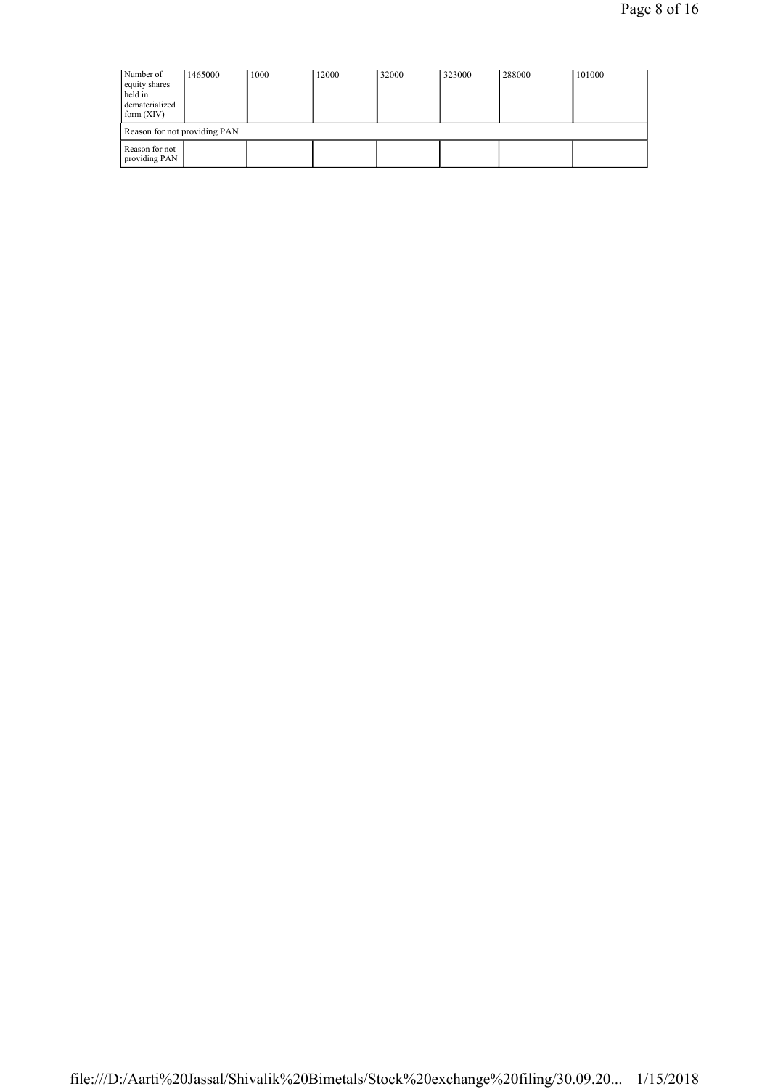| Number of<br>equity shares<br>held in<br>dematerialized<br>form $(XIV)$ | 1465000 | 1000 | 12000 | 32000 | 323000 | 288000 | 101000 |
|-------------------------------------------------------------------------|---------|------|-------|-------|--------|--------|--------|
| Reason for not providing PAN                                            |         |      |       |       |        |        |        |
| Reason for not<br>providing PAN                                         |         |      |       |       |        |        |        |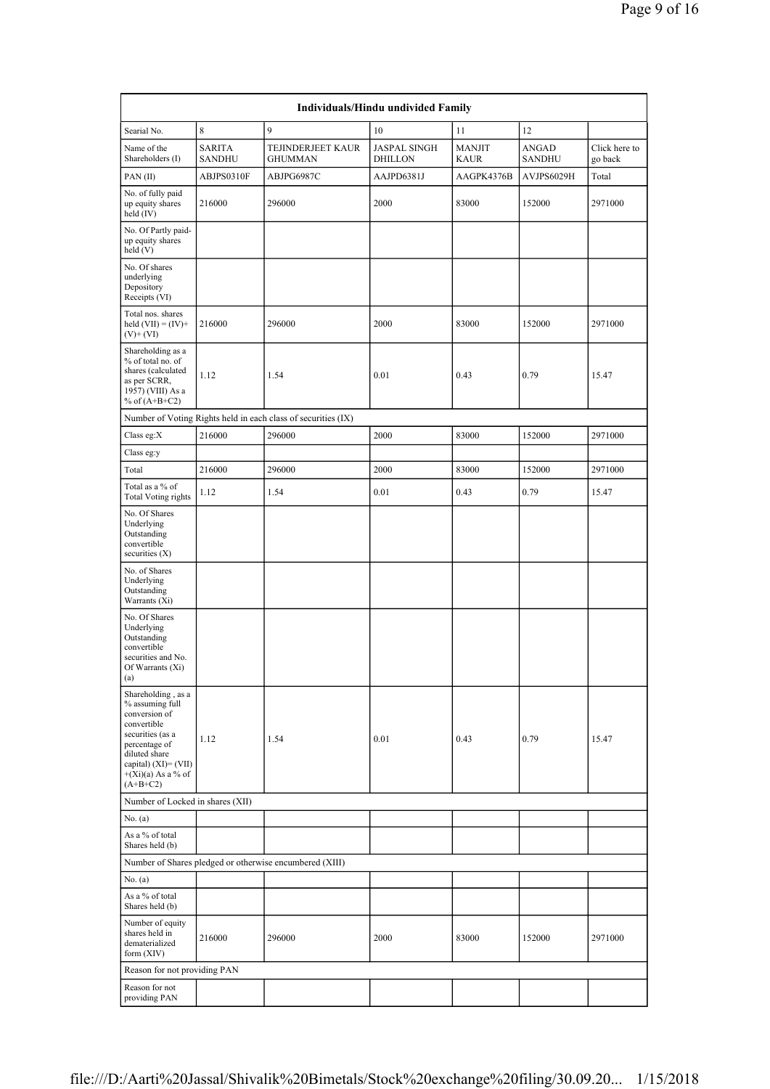| Individuals/Hindu undivided Family                                                                                                                                                           |                                |                                                               |                                       |                              |                        |                          |  |  |  |  |  |  |
|----------------------------------------------------------------------------------------------------------------------------------------------------------------------------------------------|--------------------------------|---------------------------------------------------------------|---------------------------------------|------------------------------|------------------------|--------------------------|--|--|--|--|--|--|
| Searial No.                                                                                                                                                                                  | 8                              | 9                                                             | 10                                    | 11                           | 12                     |                          |  |  |  |  |  |  |
| Name of the<br>Shareholders (I)                                                                                                                                                              | <b>SARITA</b><br><b>SANDHU</b> | TEJINDERJEET KAUR<br><b>GHUMMAN</b>                           | <b>JASPAL SINGH</b><br><b>DHILLON</b> | <b>MANJIT</b><br><b>KAUR</b> | ANGAD<br><b>SANDHU</b> | Click here to<br>go back |  |  |  |  |  |  |
| PAN(II)                                                                                                                                                                                      | ABJPS0310F                     | ABJPG6987C                                                    | AAJPD6381J                            | AAGPK4376B                   | AVJPS6029H             | Total                    |  |  |  |  |  |  |
| No. of fully paid<br>up equity shares<br>held (IV)                                                                                                                                           | 216000                         | 296000                                                        | 2000                                  | 83000                        | 152000                 | 2971000                  |  |  |  |  |  |  |
| No. Of Partly paid-<br>up equity shares<br>held (V)                                                                                                                                          |                                |                                                               |                                       |                              |                        |                          |  |  |  |  |  |  |
| No. Of shares<br>underlying<br>Depository<br>Receipts (VI)                                                                                                                                   |                                |                                                               |                                       |                              |                        |                          |  |  |  |  |  |  |
| Total nos. shares<br>held $(VII) = (IV) +$<br>$(V)$ + $(VI)$                                                                                                                                 | 216000                         | 296000                                                        | 2000                                  | 83000                        | 152000                 | 2971000                  |  |  |  |  |  |  |
| Shareholding as a<br>% of total no. of<br>shares (calculated<br>as per SCRR,<br>1957) (VIII) As a<br>% of $(A+B+C2)$                                                                         | 1.12                           | 1.54                                                          | 0.01                                  | 0.43                         | 0.79                   | 15.47                    |  |  |  |  |  |  |
|                                                                                                                                                                                              |                                | Number of Voting Rights held in each class of securities (IX) |                                       |                              |                        |                          |  |  |  |  |  |  |
| Class eg: $X$                                                                                                                                                                                | 216000                         | 296000                                                        | 2000                                  | 83000                        | 152000                 | 2971000                  |  |  |  |  |  |  |
| Class eg:y                                                                                                                                                                                   |                                |                                                               |                                       |                              |                        |                          |  |  |  |  |  |  |
| Total                                                                                                                                                                                        | 216000                         | 296000                                                        | 2000                                  | 83000                        | 152000                 | 2971000                  |  |  |  |  |  |  |
| Total as a % of<br><b>Total Voting rights</b>                                                                                                                                                | 1.12                           | 1.54                                                          | 0.01                                  | 0.43                         | 0.79                   | 15.47                    |  |  |  |  |  |  |
| No. Of Shares<br>Underlying<br>Outstanding<br>convertible<br>securities (X)                                                                                                                  |                                |                                                               |                                       |                              |                        |                          |  |  |  |  |  |  |
| No. of Shares<br>Underlying<br>Outstanding<br>Warrants (Xi)                                                                                                                                  |                                |                                                               |                                       |                              |                        |                          |  |  |  |  |  |  |
| No. Of Shares<br>Underlying<br>Outstanding<br>convertible<br>securities and No.<br>Of Warrants (Xi)<br>(a)                                                                                   |                                |                                                               |                                       |                              |                        |                          |  |  |  |  |  |  |
| Shareholding, as a<br>% assuming full<br>conversion of<br>convertible<br>securities (as a<br>percentage of<br>diluted share<br>capital) $(XI) = (VII)$<br>$+(Xi)(a)$ As a % of<br>$(A+B+C2)$ | 1.12                           | 1.54                                                          | 0.01                                  | 0.43                         | 0.79                   | 15.47                    |  |  |  |  |  |  |
| Number of Locked in shares (XII)                                                                                                                                                             |                                |                                                               |                                       |                              |                        |                          |  |  |  |  |  |  |
| No. (a)                                                                                                                                                                                      |                                |                                                               |                                       |                              |                        |                          |  |  |  |  |  |  |
| As a % of total<br>Shares held (b)                                                                                                                                                           |                                |                                                               |                                       |                              |                        |                          |  |  |  |  |  |  |
|                                                                                                                                                                                              |                                | Number of Shares pledged or otherwise encumbered (XIII)       |                                       |                              |                        |                          |  |  |  |  |  |  |
| No. (a)                                                                                                                                                                                      |                                |                                                               |                                       |                              |                        |                          |  |  |  |  |  |  |
| As a % of total<br>Shares held (b)                                                                                                                                                           |                                |                                                               |                                       |                              |                        |                          |  |  |  |  |  |  |
| Number of equity<br>shares held in<br>dematerialized<br>form (XIV)                                                                                                                           | 216000                         | 296000                                                        | 2000                                  | 83000                        | 152000                 | 2971000                  |  |  |  |  |  |  |
| Reason for not providing PAN                                                                                                                                                                 |                                |                                                               |                                       |                              |                        |                          |  |  |  |  |  |  |
| Reason for not<br>providing PAN                                                                                                                                                              |                                |                                                               |                                       |                              |                        |                          |  |  |  |  |  |  |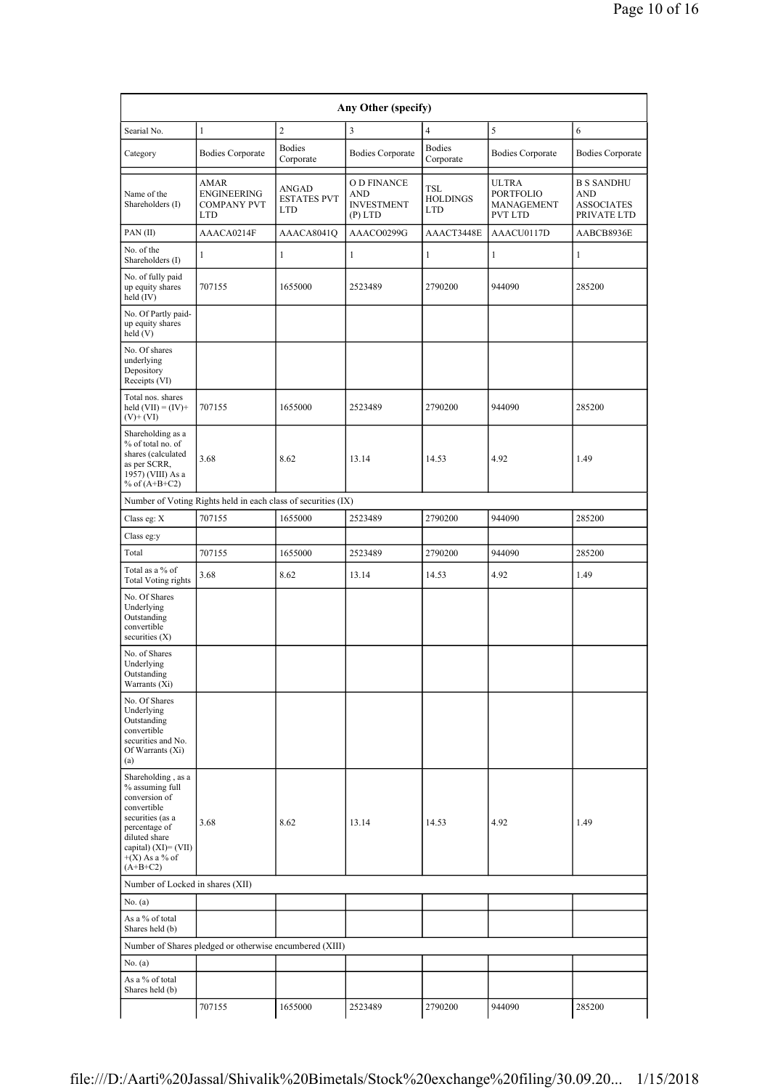| Any Other (specify)                                                                                                                                                                      |                                                               |                                           |                                                             |                                             |                                                    |                                                              |  |  |  |  |  |
|------------------------------------------------------------------------------------------------------------------------------------------------------------------------------------------|---------------------------------------------------------------|-------------------------------------------|-------------------------------------------------------------|---------------------------------------------|----------------------------------------------------|--------------------------------------------------------------|--|--|--|--|--|
| Searial No.                                                                                                                                                                              | $\mathbf{1}$                                                  | $\overline{2}$                            | $\overline{\mathbf{3}}$                                     | $\overline{4}$                              | 5                                                  | 6                                                            |  |  |  |  |  |
| Category                                                                                                                                                                                 | <b>Bodies Corporate</b>                                       | <b>Bodies</b><br>Corporate                | <b>Bodies Corporate</b>                                     | <b>Bodies</b><br>Corporate                  | <b>Bodies Corporate</b>                            | <b>Bodies Corporate</b>                                      |  |  |  |  |  |
| Name of the<br>Shareholders (I)                                                                                                                                                          | AMAR<br>ENGINEERING<br><b>COMPANY PVT</b><br><b>LTD</b>       | ANGAD<br><b>ESTATES PVT</b><br><b>LTD</b> | O D FINANCE<br><b>AND</b><br><b>INVESTMENT</b><br>$(P)$ LTD | <b>TSL</b><br><b>HOLDINGS</b><br><b>LTD</b> | ULTRA<br>PORTFOLIO<br>MANAGEMENT<br><b>PVT LTD</b> | <b>B S SANDHU</b><br>AND<br><b>ASSOCIATES</b><br>PRIVATE LTD |  |  |  |  |  |
| PAN (II)                                                                                                                                                                                 | AAACA0214F                                                    | AAACA8041O                                | AAACO0299G                                                  | AAACT3448E                                  | AAACU0117D                                         | AABCB8936E                                                   |  |  |  |  |  |
| No. of the<br>Shareholders (I)                                                                                                                                                           | 1                                                             | 1                                         | $\mathbf{1}$                                                | 1                                           | $\mathbf{1}$                                       | 1                                                            |  |  |  |  |  |
| No. of fully paid<br>up equity shares<br>held (IV)                                                                                                                                       | 707155                                                        | 1655000                                   | 2523489                                                     | 2790200                                     | 944090                                             | 285200                                                       |  |  |  |  |  |
| No. Of Partly paid-<br>up equity shares<br>held (V)                                                                                                                                      |                                                               |                                           |                                                             |                                             |                                                    |                                                              |  |  |  |  |  |
| No. Of shares<br>underlying<br>Depository<br>Receipts (VI)                                                                                                                               |                                                               |                                           |                                                             |                                             |                                                    |                                                              |  |  |  |  |  |
| Total nos. shares<br>held $(VII) = (IV) +$<br>$(V)$ + (VI)                                                                                                                               | 707155                                                        | 1655000                                   | 2523489                                                     | 2790200                                     | 944090                                             | 285200                                                       |  |  |  |  |  |
| Shareholding as a<br>% of total no. of<br>shares (calculated<br>as per SCRR,<br>1957) (VIII) As a<br>% of $(A+B+C2)$                                                                     | 3.68                                                          | 8.62                                      | 13.14                                                       | 14.53                                       | 4.92                                               | 1.49                                                         |  |  |  |  |  |
|                                                                                                                                                                                          | Number of Voting Rights held in each class of securities (IX) |                                           |                                                             |                                             |                                                    |                                                              |  |  |  |  |  |
| Class eg: X                                                                                                                                                                              | 707155                                                        | 1655000                                   | 2523489                                                     | 2790200                                     | 944090                                             | 285200                                                       |  |  |  |  |  |
| Class eg:y                                                                                                                                                                               |                                                               |                                           |                                                             |                                             |                                                    |                                                              |  |  |  |  |  |
| Total                                                                                                                                                                                    | 707155                                                        | 1655000                                   | 2523489                                                     | 2790200                                     | 944090                                             | 285200                                                       |  |  |  |  |  |
| Total as a % of<br><b>Total Voting rights</b>                                                                                                                                            | 3.68                                                          | 8.62                                      | 13.14                                                       | 14.53                                       | 4.92                                               | 1.49                                                         |  |  |  |  |  |
| No. Of Shares<br>Underlying<br>Outstanding<br>convertible<br>securities $(X)$                                                                                                            |                                                               |                                           |                                                             |                                             |                                                    |                                                              |  |  |  |  |  |
| No. of Shares<br>Underlying<br>Outstanding<br>Warrants (Xi)                                                                                                                              |                                                               |                                           |                                                             |                                             |                                                    |                                                              |  |  |  |  |  |
| No. Of Shares<br>Underlying<br>Outstanding<br>convertible<br>securities and No.<br>Of Warrants (Xi)<br>(a)                                                                               |                                                               |                                           |                                                             |                                             |                                                    |                                                              |  |  |  |  |  |
| Shareholding, as a<br>% assuming full<br>conversion of<br>convertible<br>securities (as a<br>percentage of<br>diluted share<br>capital) $(XI) = (VII)$<br>$+(X)$ As a % of<br>$(A+B+C2)$ | 3.68                                                          | 8.62                                      | 13.14                                                       | 14.53                                       | 4.92                                               | 1.49                                                         |  |  |  |  |  |
| Number of Locked in shares (XII)                                                                                                                                                         |                                                               |                                           |                                                             |                                             |                                                    |                                                              |  |  |  |  |  |
| No. (a)                                                                                                                                                                                  |                                                               |                                           |                                                             |                                             |                                                    |                                                              |  |  |  |  |  |
| As a % of total<br>Shares held (b)                                                                                                                                                       |                                                               |                                           |                                                             |                                             |                                                    |                                                              |  |  |  |  |  |
|                                                                                                                                                                                          | Number of Shares pledged or otherwise encumbered (XIII)       |                                           |                                                             |                                             |                                                    |                                                              |  |  |  |  |  |
| No. (a)                                                                                                                                                                                  |                                                               |                                           |                                                             |                                             |                                                    |                                                              |  |  |  |  |  |
| As a % of total<br>Shares held (b)                                                                                                                                                       |                                                               |                                           |                                                             |                                             |                                                    |                                                              |  |  |  |  |  |
|                                                                                                                                                                                          | 707155                                                        | 1655000                                   | 2523489                                                     | 2790200                                     | 944090                                             | 285200                                                       |  |  |  |  |  |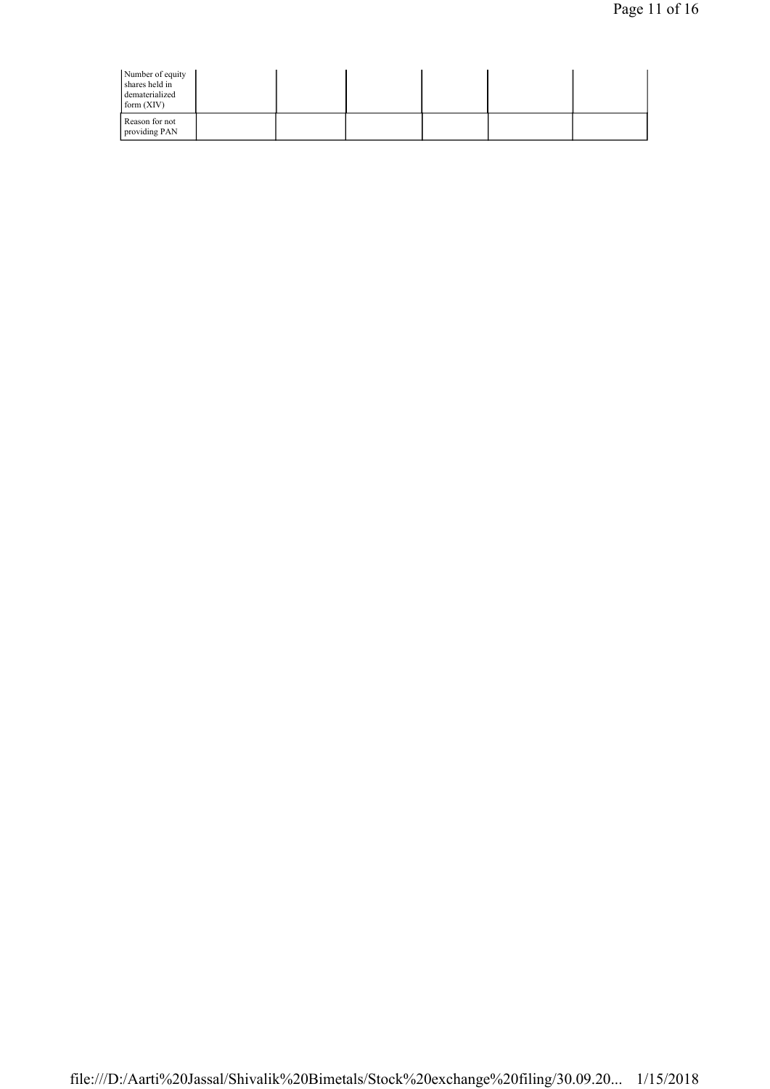| Number of equity<br>shares held in<br>dematerialized<br>form (XIV) |  |  |  |  |
|--------------------------------------------------------------------|--|--|--|--|
| Reason for not<br>providing PAN                                    |  |  |  |  |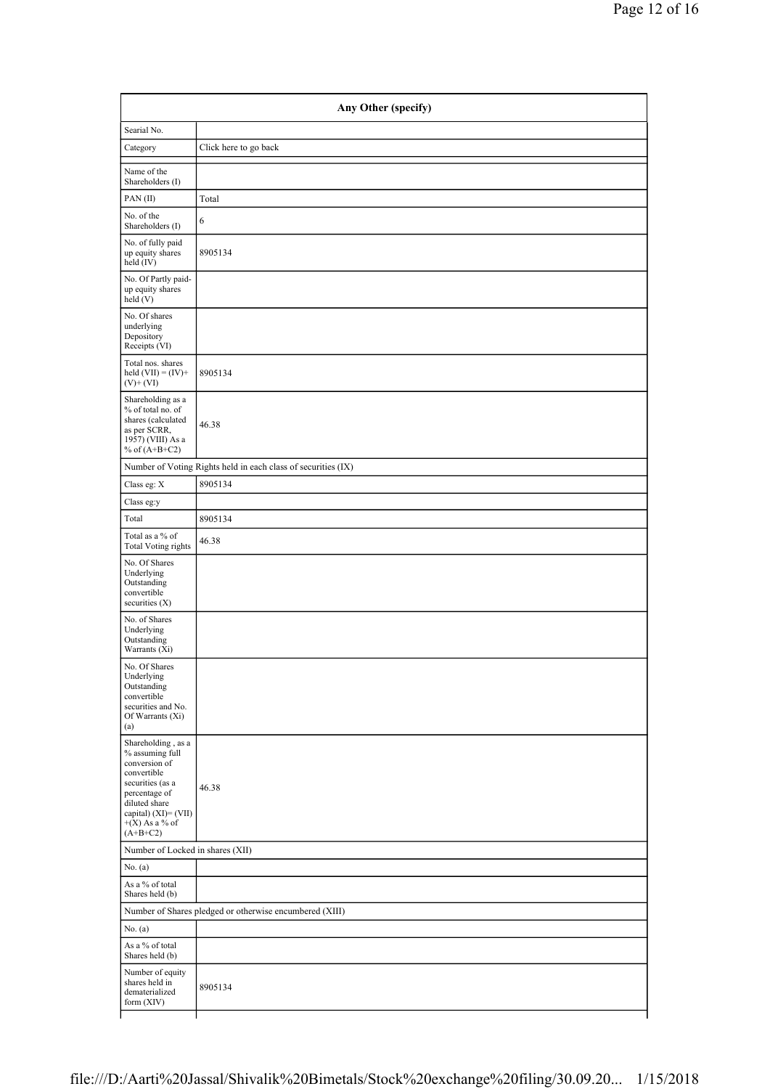| Any Other (specify)                                                                                                                                                                       |                                                               |  |  |  |  |
|-------------------------------------------------------------------------------------------------------------------------------------------------------------------------------------------|---------------------------------------------------------------|--|--|--|--|
| Searial No.                                                                                                                                                                               |                                                               |  |  |  |  |
| Category                                                                                                                                                                                  | Click here to go back                                         |  |  |  |  |
| Name of the<br>Shareholders (I)                                                                                                                                                           |                                                               |  |  |  |  |
| PAN(II)                                                                                                                                                                                   | Total                                                         |  |  |  |  |
| No. of the<br>Shareholders (I)                                                                                                                                                            | 6                                                             |  |  |  |  |
| No. of fully paid<br>up equity shares<br>held (IV)                                                                                                                                        | 8905134                                                       |  |  |  |  |
| No. Of Partly paid-<br>up equity shares<br>held(V)                                                                                                                                        |                                                               |  |  |  |  |
| No. Of shares<br>underlying<br>Depository<br>Receipts (VI)                                                                                                                                |                                                               |  |  |  |  |
| Total nos. shares<br>held $(VII) = (IV) +$<br>$(V)+(VI)$                                                                                                                                  | 8905134                                                       |  |  |  |  |
| Shareholding as a<br>% of total no. of<br>shares (calculated<br>as per SCRR,<br>1957) (VIII) As a<br>% of $(A+B+C2)$                                                                      | 46.38                                                         |  |  |  |  |
|                                                                                                                                                                                           | Number of Voting Rights held in each class of securities (IX) |  |  |  |  |
| Class eg: X                                                                                                                                                                               | 8905134                                                       |  |  |  |  |
| Class eg:y                                                                                                                                                                                |                                                               |  |  |  |  |
| Total                                                                                                                                                                                     | 8905134                                                       |  |  |  |  |
| Total as a % of<br><b>Total Voting rights</b>                                                                                                                                             | 46.38                                                         |  |  |  |  |
| No. Of Shares<br>Underlying<br>Outstanding<br>convertible<br>securities $(X)$                                                                                                             |                                                               |  |  |  |  |
| No. of Shares<br>Underlying<br>Outstanding<br>Warrants (Xi)                                                                                                                               |                                                               |  |  |  |  |
| No. Of Shares<br>Underlying<br>Outstanding<br>convertible<br>securities and No.<br>Of Warrants (Xi)<br>(a)                                                                                |                                                               |  |  |  |  |
| Shareholding , as a<br>$\%$ assuming full<br>conversion of<br>convertible<br>securities (as a<br>percentage of<br>diluted share<br>capital) (XI)= (VII)<br>$+(X)$ As a % of<br>$(A+B+C2)$ | 46.38                                                         |  |  |  |  |
| Number of Locked in shares (XII)                                                                                                                                                          |                                                               |  |  |  |  |
| No. $(a)$                                                                                                                                                                                 |                                                               |  |  |  |  |
| As a % of total<br>Shares held (b)                                                                                                                                                        |                                                               |  |  |  |  |
|                                                                                                                                                                                           | Number of Shares pledged or otherwise encumbered (XIII)       |  |  |  |  |
| No. (a)                                                                                                                                                                                   |                                                               |  |  |  |  |
| As a % of total<br>Shares held (b)                                                                                                                                                        |                                                               |  |  |  |  |
| Number of equity<br>shares held in<br>dematerialized<br>form (XIV)                                                                                                                        | 8905134                                                       |  |  |  |  |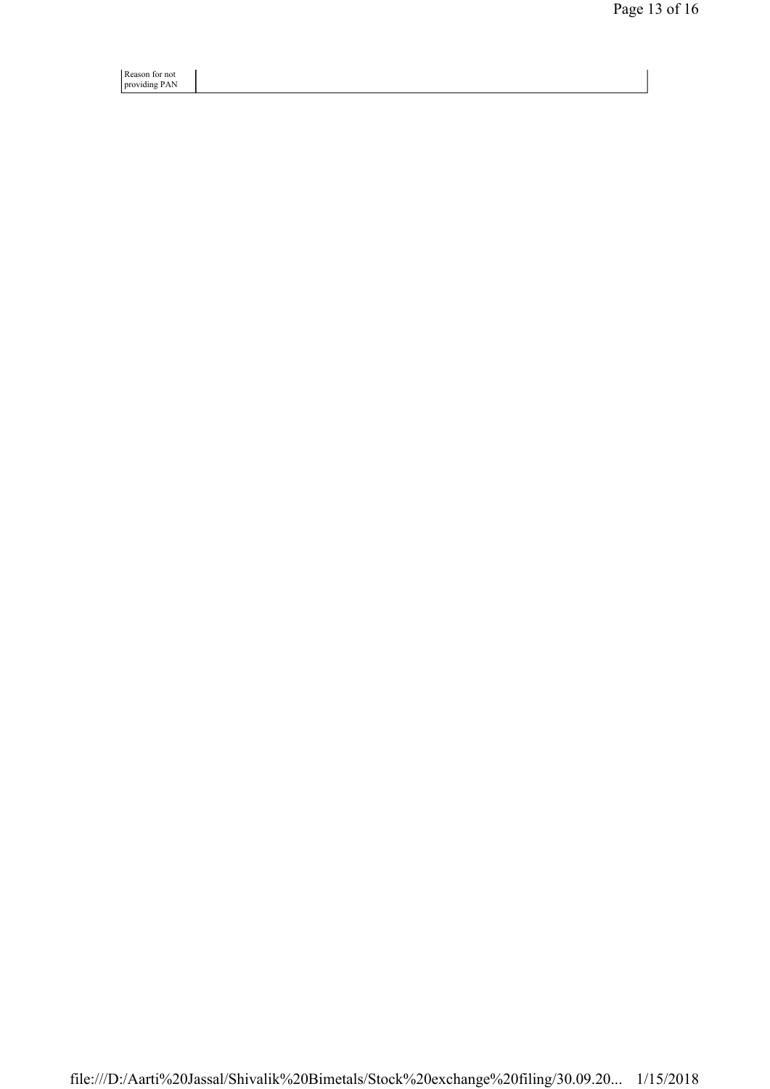Reason for not providing PAN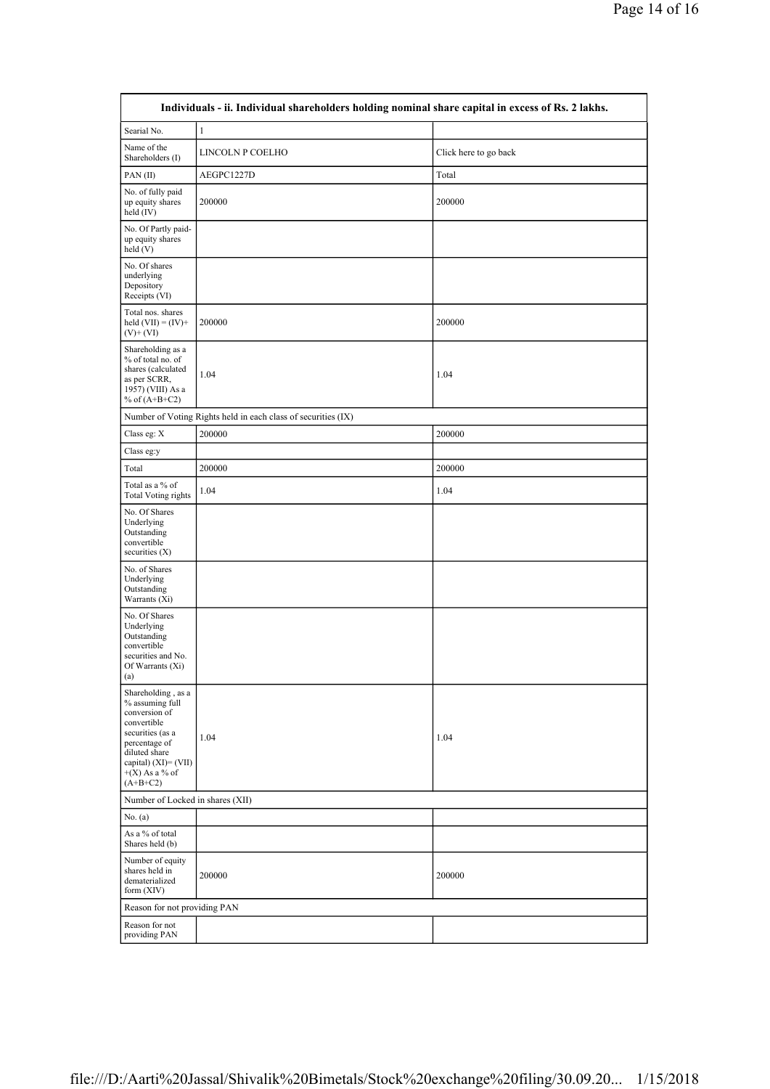| Individuals - ii. Individual shareholders holding nominal share capital in excess of Rs. 2 lakhs.                                                                                        |                  |                       |  |  |  |  |  |  |
|------------------------------------------------------------------------------------------------------------------------------------------------------------------------------------------|------------------|-----------------------|--|--|--|--|--|--|
| Searial No.                                                                                                                                                                              | $\mathbf{1}$     |                       |  |  |  |  |  |  |
| Name of the<br>Shareholders (I)                                                                                                                                                          | LINCOLN P COELHO | Click here to go back |  |  |  |  |  |  |
| PAN(II)                                                                                                                                                                                  | AEGPC1227D       | Total                 |  |  |  |  |  |  |
| No. of fully paid<br>up equity shares<br>held (IV)                                                                                                                                       | 200000           | 200000                |  |  |  |  |  |  |
| No. Of Partly paid-<br>up equity shares<br>held(V)                                                                                                                                       |                  |                       |  |  |  |  |  |  |
| No. Of shares<br>underlying<br>Depository<br>Receipts (VI)                                                                                                                               |                  |                       |  |  |  |  |  |  |
| Total nos. shares<br>held $(VII) = (IV) +$<br>$(V)$ + $(VI)$                                                                                                                             | 200000           | 200000                |  |  |  |  |  |  |
| Shareholding as a<br>% of total no. of<br>shares (calculated<br>as per SCRR,<br>1957) (VIII) As a<br>% of $(A+B+C2)$                                                                     | 1.04             | 1.04                  |  |  |  |  |  |  |
| Number of Voting Rights held in each class of securities (IX)                                                                                                                            |                  |                       |  |  |  |  |  |  |
| Class eg: X                                                                                                                                                                              | 200000           | 200000                |  |  |  |  |  |  |
| Class eg:y                                                                                                                                                                               |                  |                       |  |  |  |  |  |  |
| Total                                                                                                                                                                                    | 200000           | 200000                |  |  |  |  |  |  |
| Total as a % of<br><b>Total Voting rights</b>                                                                                                                                            | 1.04             | 1.04                  |  |  |  |  |  |  |
| No. Of Shares<br>Underlying<br>Outstanding<br>convertible<br>securities $(X)$                                                                                                            |                  |                       |  |  |  |  |  |  |
| No. of Shares<br>Underlying<br>Outstanding<br>Warrants (Xi)                                                                                                                              |                  |                       |  |  |  |  |  |  |
| No. Of Shares<br>Underlying<br>Outstanding<br>convertible<br>securities and No.<br>Of Warrants (Xi)<br>(a)                                                                               |                  |                       |  |  |  |  |  |  |
| Shareholding, as a<br>% assuming full<br>conversion of<br>convertible<br>securities (as a<br>percentage of<br>diluted share<br>capital) $(XI) = (VII)$<br>$+(X)$ As a % of<br>$(A+B+C2)$ | 1.04             | 1.04                  |  |  |  |  |  |  |
| Number of Locked in shares (XII)                                                                                                                                                         |                  |                       |  |  |  |  |  |  |
| No. (a)                                                                                                                                                                                  |                  |                       |  |  |  |  |  |  |
| As a % of total<br>Shares held (b)                                                                                                                                                       |                  |                       |  |  |  |  |  |  |
| Number of equity<br>shares held in<br>dematerialized<br>form (XIV)                                                                                                                       | 200000           | 200000                |  |  |  |  |  |  |
| Reason for not providing PAN                                                                                                                                                             |                  |                       |  |  |  |  |  |  |
| Reason for not<br>providing PAN                                                                                                                                                          |                  |                       |  |  |  |  |  |  |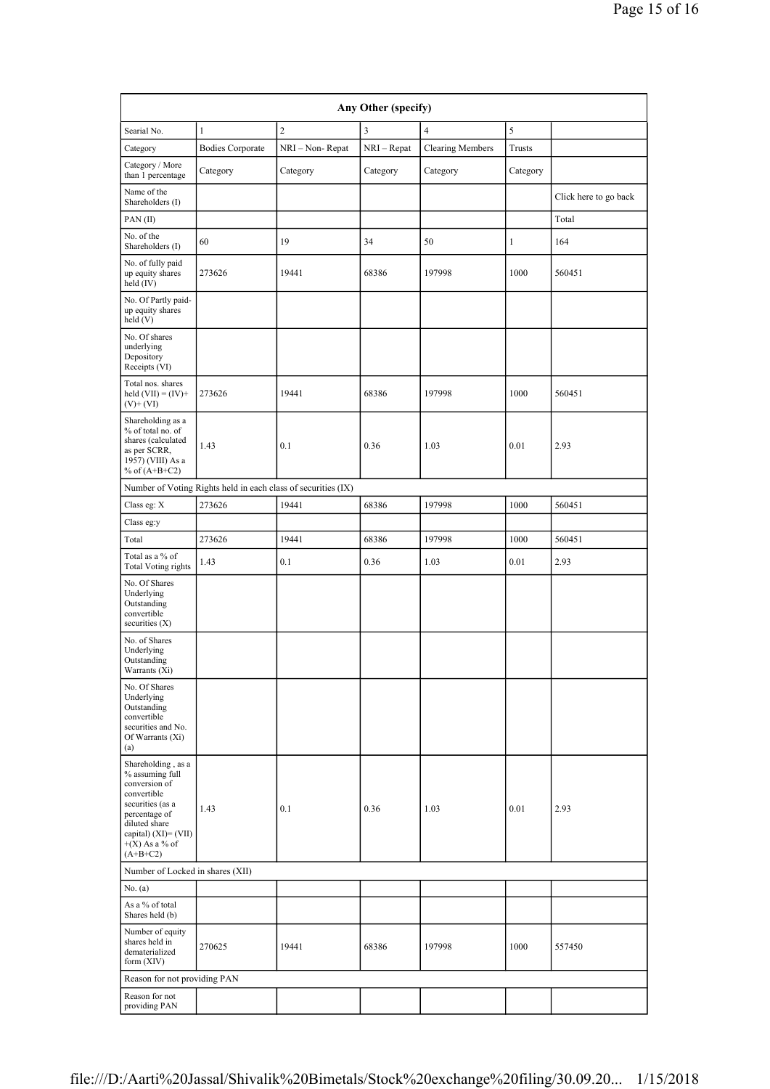| Any Other (specify)                                                                                                                                                                      |                                                               |                 |             |                         |              |                       |  |  |  |
|------------------------------------------------------------------------------------------------------------------------------------------------------------------------------------------|---------------------------------------------------------------|-----------------|-------------|-------------------------|--------------|-----------------------|--|--|--|
| Searial No.                                                                                                                                                                              | $\mathbf{1}$                                                  | $\overline{c}$  | 3           | $\overline{4}$          | 5            |                       |  |  |  |
| Category                                                                                                                                                                                 | <b>Bodies Corporate</b>                                       | NRI - Non-Repat | NRI – Repat | <b>Clearing Members</b> | Trusts       |                       |  |  |  |
| Category / More<br>than 1 percentage                                                                                                                                                     | Category                                                      | Category        | Category    | Category                | Category     |                       |  |  |  |
| Name of the<br>Shareholders (I)                                                                                                                                                          |                                                               |                 |             |                         |              | Click here to go back |  |  |  |
| PAN(II)                                                                                                                                                                                  |                                                               |                 |             |                         |              | Total                 |  |  |  |
| No. of the<br>Shareholders (I)                                                                                                                                                           | 60                                                            | 19              | 34          | 50                      | $\mathbf{1}$ | 164                   |  |  |  |
| No. of fully paid<br>up equity shares<br>held (IV)                                                                                                                                       | 273626                                                        | 19441           | 68386       | 197998                  | 1000         | 560451                |  |  |  |
| No. Of Partly paid-<br>up equity shares<br>held (V)                                                                                                                                      |                                                               |                 |             |                         |              |                       |  |  |  |
| No. Of shares<br>underlying<br>Depository<br>Receipts (VI)                                                                                                                               |                                                               |                 |             |                         |              |                       |  |  |  |
| Total nos. shares<br>held $(VII) = (IV) +$<br>$(V)$ + (VI)                                                                                                                               | 273626                                                        | 19441           | 68386       | 197998                  | 1000         | 560451                |  |  |  |
| Shareholding as a<br>% of total no. of<br>shares (calculated<br>as per SCRR,<br>1957) (VIII) As a<br>% of $(A+B+C2)$                                                                     | 1.43                                                          | 0.1             | 0.36        | 1.03                    | 0.01         | 2.93                  |  |  |  |
|                                                                                                                                                                                          | Number of Voting Rights held in each class of securities (IX) |                 |             |                         |              |                       |  |  |  |
| Class eg: X                                                                                                                                                                              | 273626                                                        | 19441           | 68386       | 197998                  | 1000         | 560451                |  |  |  |
| Class eg:y                                                                                                                                                                               |                                                               |                 |             |                         |              |                       |  |  |  |
| Total                                                                                                                                                                                    | 273626                                                        | 19441           | 68386       | 197998                  | 1000         | 560451                |  |  |  |
| Total as a % of<br><b>Total Voting rights</b>                                                                                                                                            | 1.43                                                          | 0.1             | 0.36        | 1.03                    | 0.01         | 2.93                  |  |  |  |
| No. Of Shares<br>Underlying<br>Outstanding<br>convertible<br>securities $(X)$                                                                                                            |                                                               |                 |             |                         |              |                       |  |  |  |
| No. of Shares<br>Underlying<br>Outstanding<br>Warrants (Xi)                                                                                                                              |                                                               |                 |             |                         |              |                       |  |  |  |
| No. Of Shares<br>Underlying<br>Outstanding<br>convertible<br>securities and No.<br>Of Warrants (Xi)<br>(a)                                                                               |                                                               |                 |             |                         |              |                       |  |  |  |
| Shareholding, as a<br>% assuming full<br>conversion of<br>convertible<br>securities (as a<br>percentage of<br>diluted share<br>capital) $(XI) = (VII)$<br>$+(X)$ As a % of<br>$(A+B+C2)$ | 1.43                                                          | 0.1             | 0.36        | 1.03                    | 0.01         | 2.93                  |  |  |  |
| Number of Locked in shares (XII)                                                                                                                                                         |                                                               |                 |             |                         |              |                       |  |  |  |
| No. $(a)$                                                                                                                                                                                |                                                               |                 |             |                         |              |                       |  |  |  |
| As a % of total<br>Shares held (b)                                                                                                                                                       |                                                               |                 |             |                         |              |                       |  |  |  |
| Number of equity<br>shares held in<br>dematerialized<br>form (XIV)                                                                                                                       | 270625                                                        | 19441           | 68386       | 197998                  | 1000         | 557450                |  |  |  |
| Reason for not providing PAN                                                                                                                                                             |                                                               |                 |             |                         |              |                       |  |  |  |
| Reason for not<br>providing PAN                                                                                                                                                          |                                                               |                 |             |                         |              |                       |  |  |  |